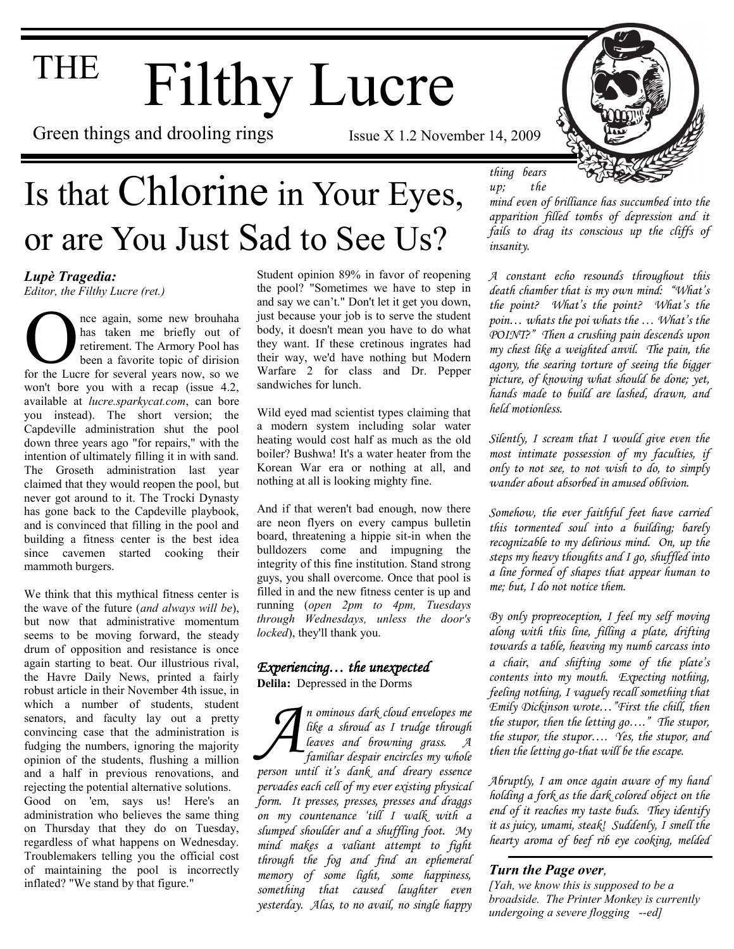# THE Filthy Lucre

Green things and drooling rings Issue X 1.2 November 14, 2009

### Is that Chlorine in Your Eyes, or are You Just Sad to See Us?



The again, some new brouhaha<br>has taken me briefly out of<br>retirement. The Armory Pool has<br>been a favorite topic of dirision<br>for the Lucre for several years now, so we nce again, some new brouhaha has taken me briefly out of retirement. The Armory Pool has been a favorite topic of dirision won't bore you with a recap (issue 4.2, available at *lucre.sparkycat.com*, can bore you instead). The short version; the Capdeville administration shut the pool down three years ago "for repairs," with the intention of ultimately filling it in with sand. The Groseth administration last year claimed that they would reopen the pool, but never got around to it. The Trocki Dynasty has gone back to the Capdeville playbook, and is convinced that filling in the pool and building a fitness center is the best idea since cavemen started cooking their mammoth burgers.

We think that this mythical fitness center is the wave of the future (*and always will be*), but now that administrative momentum seems to be moving forward, the steady drum of opposition and resistance is once again starting to beat. Our illustrious rival, the Havre Daily News, printed a fairly robust article in their November 4th issue, in which a number of students, student senators, and faculty lay out a pretty convincing case that the administration is fudging the numbers, ignoring the majority opinion of the students, flushing a million and a half in previous renovations, and rejecting the potential alternative solutions.

Good on 'em, says us! Here's an administration who believes the same thing on Thursday that they do on Tuesday, regardless of what happens on Wednesday. Troublemakers telling you the official cost of maintaining the pool is incorrectly inflated? "We stand by that figure."

Student opinion 89% in favor of reopening the pool? "Sometimes we have to step in and say we can't." Don't let it get you down, just because your job is to serve the student body, it doesn't mean you have to do what they want. If these cretinous ingrates had their way, we'd have nothing but Modern Warfare 2 for class and Dr. Pepper sandwiches for lunch.

Wild eyed mad scientist types claiming that a modern system including solar water heating would cost half as much as the old boiler? Bushwa! It's a water heater from the Korean War era or nothing at all, and nothing at all is looking mighty fine.

And if that weren't bad enough, now there are neon flyers on every campus bulletin board, threatening a hippie sit-in when the bulldozers come and impugning the integrity of this fine institution. Stand strong guys, you shall overcome. Once that pool is filled in and the new fitness center is up and running (*open 2pm to 4pm, Tuesdays through Wednesdays, unless the door's locked*), they'll thank you.

### *Experiencing… the unexpected*

**Delila:** Depressed in the Dorms

*A n ominous dark cloud envelopes me like a shroud as I trudge through leaves and browning grass. A familiar despair encircles my whole person until it"s dank and dreary essence pervades each cell of my ever existing physical form. It presses, presses, presses and draggs on my countenance "till I walk with a slumped shoulder and a shuffling foot. My mind makes a valiant attempt to fight through the fog and find an ephemeral memory of some light, some happiness, something that caused laughter even yesterday. Alas, to no avail, no single happy* 



*thing bears up; the* 

*mind even of brilliance has succumbed into the apparition filled tombs of depression and it fails to drag its conscious up the cliffs of insanity.* 

*A constant echo resounds throughout this death chamber that is my own mind: "What"s the point? What"s the point? What"s the poin… whats the poi whats the … What"s the POINT?" Then a crushing pain descends upon my chest like a weighted anvil. The pain, the agony, the searing torture of seeing the bigger picture, of knowing what should be done; yet, hands made to build are lashed, drawn, and held motionless.* 

*Silently, I scream that I would give even the most intimate possession of my faculties, if only to not see, to not wish to do, to simply wander about absorbed in amused oblivion.* 

*Somehow, the ever faithful feet have carried this tormented soul into a building; barely recognizable to my delirious mind. On, up the steps my heavy thoughts and I go, shuffled into a line formed of shapes that appear human to me; but, I do not notice them.*

*By only propreoception, I feel my self moving along with this line, filling a plate, drifting towards a table, heaving my numb carcass into a chair*, *and shifting some of the plate"s contents into my mouth. Expecting nothing, feeling nothing, I vaguely recall something that Emily Dickinson wrote…"First the chill, then the stupor, then the letting go…." The stupor, the stupor, the stupor…. Yes, the stupor, and then the letting go-that will be the escape.* 

*Abruptly, I am once again aware of my hand holding a fork as the dark colored object on the end of it reaches my taste buds. They identify it as juicy, umami, steak! Suddenly, I smell the hearty aroma of beef rib eye cooking, melded* 

### *Turn the Page over,*

*[Yah, we know this is supposed to be a broadside. The Printer Monkey is currently undergoing a severe flogging --ed]*